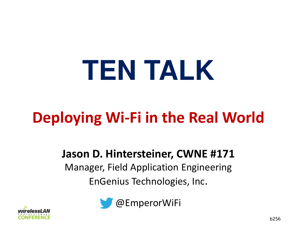# **TEN TALK**

# **Deploying Wi-Fi in the Real World**

#### **Jason D. Hintersteiner, CWNE #171**

 Manager, Field Application EngineeringEnGenius Technologies, Inc.



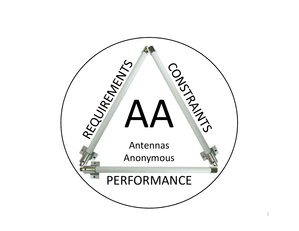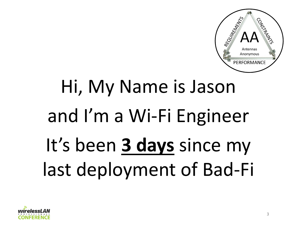

# Hi, My Name is Jasonand I'm a Wi-Fi EngineerIt's been **3 days** since my last deployment of Bad-Fi

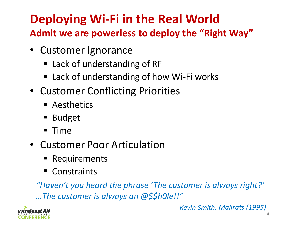# **Deploying Wi-Fi in the Real World**

**Admit we are powerless to deploy the "Right Way"**

- Customer Ignorance
	- Lack of understanding of RF
	- Lack of understanding of how Wi-Fi works
- Customer Conflicting Priorities
	- Aesthetics
	- Budget
	- $\blacksquare$  Time
- Customer Poor Articulation
	- $\blacksquare$  Requirements
	- Constraints

*"Haven't you heard the phrase 'The customer is always right?'…The customer is always an @\$\$h0le!!"*



*-- Kevin Smith, Mallrats (1995)*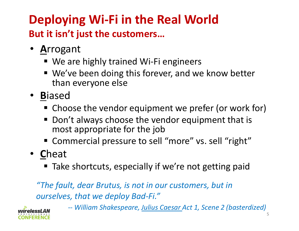# **Deploying Wi-Fi in the Real WorldBut it isn't just the customers…**

- •**A**rrogant
	- We are highly trained Wi-Fi engineers
	- We've been doing this forever, and we know better than everyone else
- •**B**iased
	- Choose the vendor equipment we prefer (or work for)
	- Don't always choose the vendor equipment that is most appropriate for the job
	- Commercial pressure to sell "more" vs. sell "right"
- •**C**heat
	- ■ Take shortcuts, especially if we're not getting paid

*"The fault, dear Brutus, is not in our customers, but in ourselves, that we deploy Bad-Fi."*

> *-- William Shakespeare, Julius Caesar Act 1, Scene 2 (basterdized)*

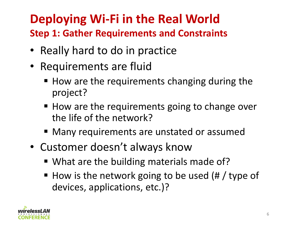# **Deploying Wi-Fi in the Real World**

**Step 1: Gather Requirements and Constraints**

- Really hard to do in practice
- Requirements are fluid
	- $\blacksquare$  How are the requirements changing during the project?
	- How are the requirements going to change over the life of the network?
	- Many requirements are unstated or assumed
- Customer doesn't always know
	- What are the building materials made of?
	- How is the network going to be used  $(\# /$  type of devices, applications, etc.)?

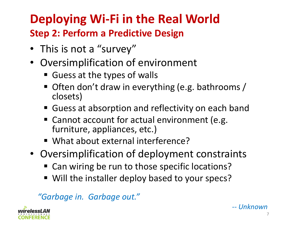# **Deploying Wi-Fi in the Real World**

#### **Step 2: Perform a Predictive Design**

- This is not a "survey"
- $\bullet$  Oversimplification of environment
	- Guess at the types of walls
	- Often don't draw in everything (e.g. bathrooms / closets)
	- Guess at absorption and reflectivity on each band
	- Cannot account for actual environment (e.g. furniture, appliances, etc.)
	- What about external interference?
- Oversimplification of deployment constraints
	- Can wiring be run to those specific locations?
	- Will the installer deploy based to your specs?

*"Garbage in. Garbage out."*

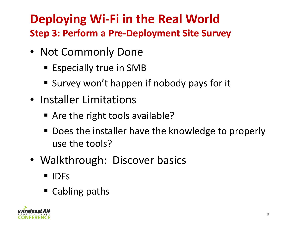## **Deploying Wi-Fi in the Real WorldStep 3: Perform a Pre-Deployment Site Survey**

- Not Commonly Done
	- Especially true in SMB
	- Survey won't happen if nobody pays for it
- Installer Limitations
	- Are the right tools available?
	- Does the installer have the knowledge to properly use the tools?
- Walkthrough: Discover basics
	- IDFs
	- Cabling paths

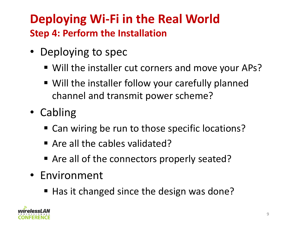## **Deploying Wi-Fi in the Real WorldStep 4: Perform the Installation**

- Deploying to spec
	- Will the installer cut corners and move your APs?
	- Will the installer follow your carefully planned channel and transmit power scheme?
- Cabling
	- Can wiring be run to those specific locations?
	- Are all the cables validated?
	- Are all of the connectors properly seated?
- Environment
	- Has it changed since the design was done?

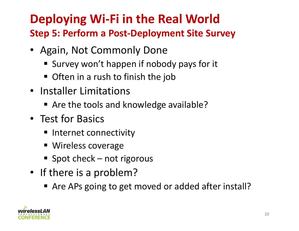### **Deploying Wi-Fi in the Real WorldStep 5: Perform a Post-Deployment Site Survey**

- Again, Not Commonly Done
	- Survey won't happen if nobody pays for it
	- Often in a rush to finish the job
- Installer Limitations
	- Are the tools and knowledge available?
- Test for Basics
	- $\blacksquare$  Internet connectivity
	- **Wireless coverage**
	- Spot check not rigorous
- If there is a problem?
	- Are APs going to get moved or added after install?

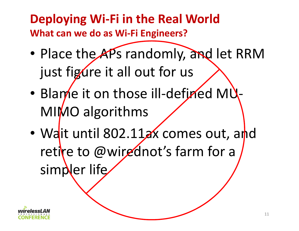## **Deploying Wi-Fi in the Real WorldWhat can we do as Wi-Fi Engineers?**

- •• Place the APs randomly, and let RRM just figure it all out for us
- •• Blame it on those ill-defined MU MIMO algorithms
- •• Wait until 802.11ax comes out, and retire to @wirednot's farm for a simpler life

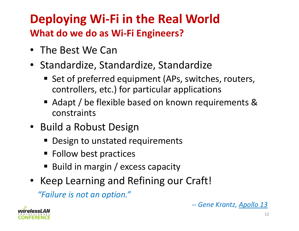## **Deploying Wi-Fi in the Real WorldWhat do we do as Wi-Fi Engineers?**

- The Best We Can
- Standardize, Standardize, Standardize
	- **Set of preferred equipment (APs, switches, routers,** controllers, etc.) for particular applications
	- Adapt / be flexible based on known requirements & constraints
- Build a Robust Design
	- **Design to unstated requirements**
	- Follow best practices
	- Build in margin / excess capacity
- Keep Learning and Refining our Craft!

*"Failure is not an option."*





12